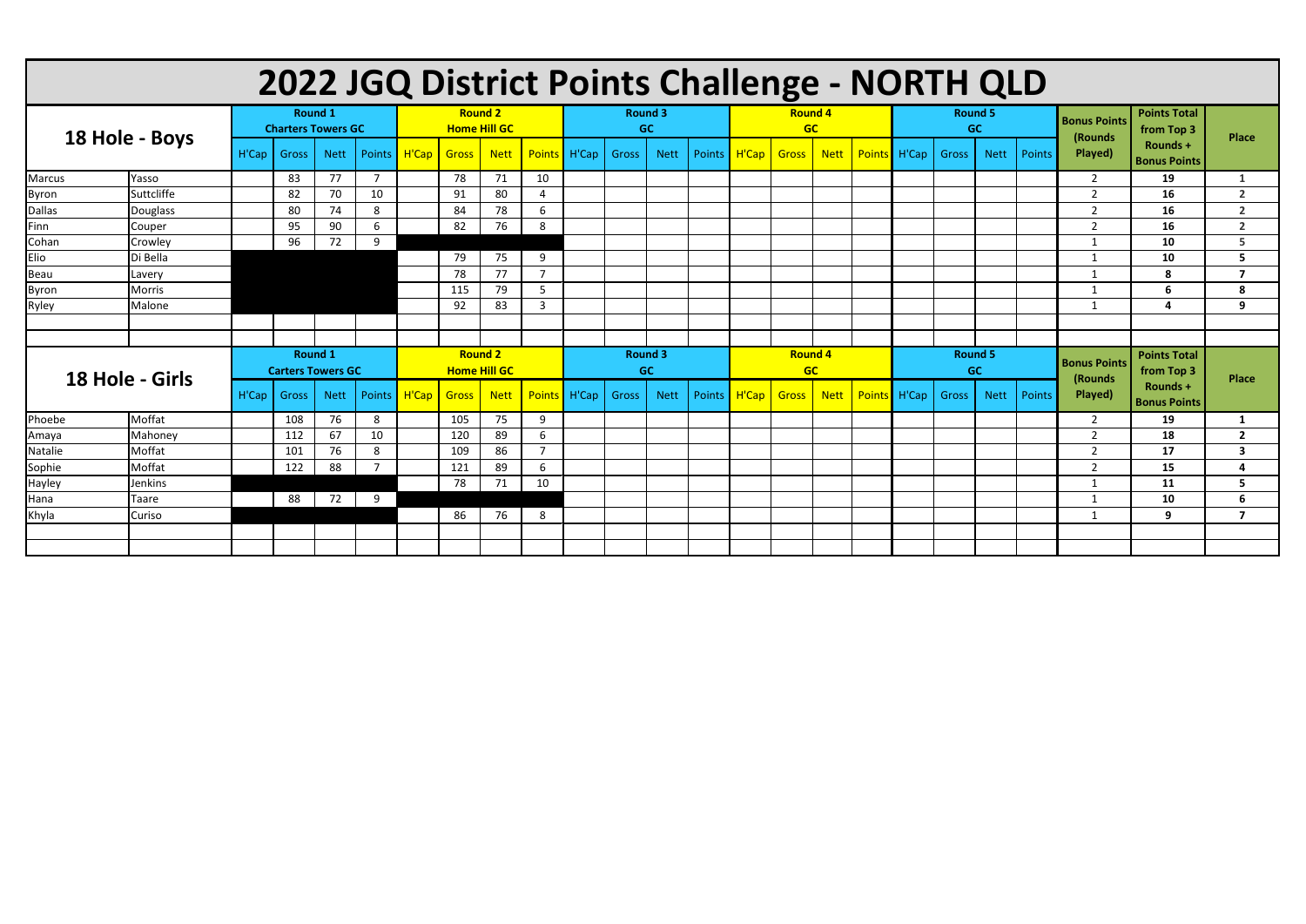| 2022 JGQ District Points Challenge - NORTH QLD |               |                                             |                          |             |                |                                       |                     |             |                |                             |                |             |        |                             |                |             |  |                             |                |             |        |                                |                                   |                         |
|------------------------------------------------|---------------|---------------------------------------------|--------------------------|-------------|----------------|---------------------------------------|---------------------|-------------|----------------|-----------------------------|----------------|-------------|--------|-----------------------------|----------------|-------------|--|-----------------------------|----------------|-------------|--------|--------------------------------|-----------------------------------|-------------------------|
| 18 Hole - Boys                                 |               | <b>Round 1</b><br><b>Charters Towers GC</b> |                          |             |                | <b>Round 2</b><br><b>Home Hill GC</b> |                     |             |                | <b>Round 3</b><br><b>GC</b> |                |             |        | <b>Round 4</b><br><b>GC</b> |                |             |  | <b>Round 5</b><br><b>GC</b> |                |             |        | <b>Bonus Points</b><br>(Rounds | <b>Points Total</b><br>from Top 3 | Place                   |
|                                                |               | H'Cap                                       | Gross                    | <b>Nett</b> |                | Points   H'Cap                        | <b>Gross</b>        | <b>Nett</b> | <b>Points</b>  | H'Cap                       | Gross          | <b>Nett</b> | Points | H'Cap                       | <b>Gross</b>   | <b>Nett</b> |  | Points H'Cap                | Gross          | <b>Nett</b> | Points | Played)                        | Rounds +<br><b>Bonus Points</b>   |                         |
| <b>Marcus</b>                                  | Yasso         |                                             | 83                       | 77          | $\overline{7}$ |                                       | 78                  | 71          | 10             |                             |                |             |        |                             |                |             |  |                             |                |             |        | $\overline{2}$                 | 19                                | $\mathbf{1}$            |
| <b>Byron</b>                                   | Suttcliffe    |                                             | 82                       | 70          | 10             |                                       | 91                  | 80          | 4              |                             |                |             |        |                             |                |             |  |                             |                |             |        | $\overline{2}$                 | 16                                | $\overline{2}$          |
| <b>Dallas</b>                                  | Douglass      |                                             | 80                       | 74          | 8              |                                       | 84                  | 78          | 6              |                             |                |             |        |                             |                |             |  |                             |                |             |        | $\overline{2}$                 | 16                                | $\overline{2}$          |
| Finn                                           | Couper        |                                             | 95                       | 90          | 6              |                                       | 82                  | 76          | 8              |                             |                |             |        |                             |                |             |  |                             |                |             |        | $\overline{2}$                 | 16                                | $\overline{2}$          |
| Cohan                                          | Crowley       |                                             | 96                       | 72          | 9              |                                       |                     |             |                |                             |                |             |        |                             |                |             |  |                             |                |             |        | $\overline{1}$                 | 10                                | 5                       |
| Elio                                           | Di Bella      |                                             |                          |             |                |                                       | 79                  | 75          | 9              |                             |                |             |        |                             |                |             |  |                             |                |             |        |                                | 10                                | 5                       |
| Beau                                           | Lavery        |                                             |                          |             |                |                                       | 78                  | 77          | $\overline{7}$ |                             |                |             |        |                             |                |             |  |                             |                |             |        |                                | 8                                 | $\overline{7}$          |
| <b>Byron</b>                                   | Morris        |                                             |                          |             |                |                                       | 115                 | 79          | 5              |                             |                |             |        |                             |                |             |  |                             |                |             |        | -1                             | 6                                 | 8                       |
| Ryley                                          | Malone        |                                             |                          |             |                |                                       | 92                  | 83          | 3              |                             |                |             |        |                             |                |             |  |                             |                |             |        | -1                             | $\mathbf{a}$                      | 9                       |
|                                                |               |                                             |                          |             |                |                                       |                     |             |                |                             |                |             |        |                             |                |             |  |                             |                |             |        |                                |                                   |                         |
|                                                |               |                                             |                          |             |                |                                       |                     |             |                |                             |                |             |        |                             |                |             |  |                             |                |             |        |                                |                                   |                         |
|                                                |               |                                             | <b>Round 1</b>           |             |                |                                       | <b>Round 2</b>      |             |                |                             | <b>Round 3</b> |             |        |                             | <b>Round 4</b> |             |  |                             | <b>Round 5</b> |             |        | <b>Bonus Points</b>            | <b>Points Total</b>               |                         |
|                                                |               |                                             | <b>Carters Towers GC</b> |             |                |                                       | <b>Home Hill GC</b> |             |                |                             | <b>GC</b>      |             |        |                             | <b>GC</b>      |             |  |                             | <b>GC</b>      |             |        | (Rounds                        | from Top 3                        | <b>Place</b>            |
| 18 Hole - Girls                                |               | H'Cap                                       | Gross                    | <b>Nett</b> | Points         | H'Cap                                 | <b>Gross</b>        | <b>Nett</b> | <b>Points</b>  | H'Cap                       | Gross          | <b>Nett</b> | Points | H'Cap                       | <b>Gross</b>   | <b>Nett</b> |  | Points H'Cap                | Gross          | <b>Nett</b> | Points | Played)                        | Rounds +<br><b>Bonus Points</b>   |                         |
| Phoebe                                         | Moffat        |                                             | 108                      | 76          | 8              |                                       | 105                 | 75          | 9              |                             |                |             |        |                             |                |             |  |                             |                |             |        | $\overline{2}$                 | 19                                | 1                       |
| Amaya                                          | Mahoney       |                                             | 112                      | 67          | 10             |                                       | 120                 | 89          | 6              |                             |                |             |        |                             |                |             |  |                             |                |             |        | $\overline{2}$                 | 18                                | $\overline{2}$          |
| Natalie                                        | <b>Moffat</b> |                                             | 101                      | 76          | 8              |                                       | 109                 | 86          | $\overline{7}$ |                             |                |             |        |                             |                |             |  |                             |                |             |        | $\overline{2}$                 | 17                                | $\overline{\mathbf{3}}$ |
| Sophie                                         | Moffat        |                                             | 122                      | 88          | $\overline{7}$ |                                       | 121                 | 89          | 6              |                             |                |             |        |                             |                |             |  |                             |                |             |        | $\overline{2}$                 | 15                                | $\overline{\mathbf{a}}$ |
| Hayley                                         | Jenkins       |                                             |                          |             |                |                                       | 78                  | 71          | 10             |                             |                |             |        |                             |                |             |  |                             |                |             |        | -1                             | 11                                | 5                       |
| Hana                                           | Taare         |                                             | 88                       | 72          | 9              |                                       |                     |             |                |                             |                |             |        |                             |                |             |  |                             |                |             |        |                                | 10                                | 6                       |
| Khyla                                          | Curiso        |                                             |                          |             |                |                                       | 86                  | 76          | 8              |                             |                |             |        |                             |                |             |  |                             |                |             |        |                                | 9                                 | $\overline{7}$          |
|                                                |               |                                             |                          |             |                |                                       |                     |             |                |                             |                |             |        |                             |                |             |  |                             |                |             |        |                                |                                   |                         |
|                                                |               |                                             |                          |             |                |                                       |                     |             |                |                             |                |             |        |                             |                |             |  |                             |                |             |        |                                |                                   |                         |